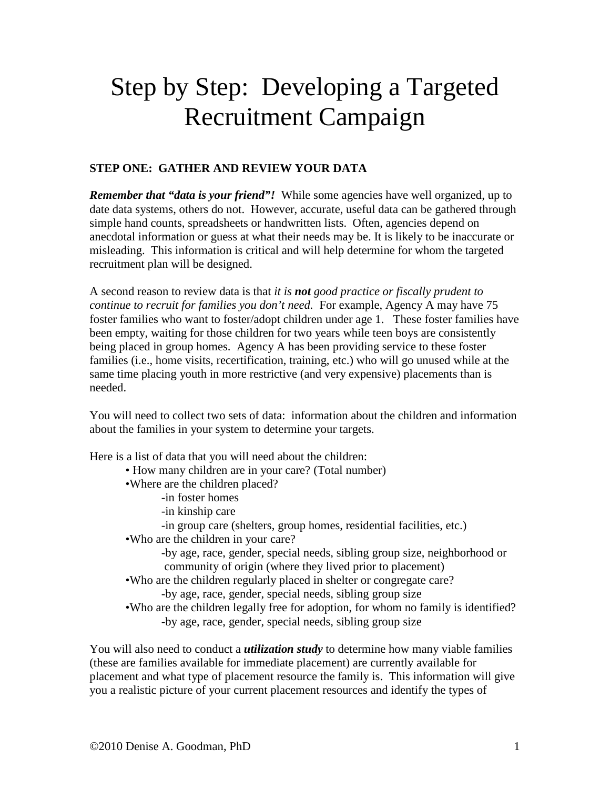# Step by Step: Developing a Targeted Recruitment Campaign

### **STEP ONE: GATHER AND REVIEW YOUR DATA**

*Remember that "data is your friend"!* While some agencies have well organized, up to date data systems, others do not. However, accurate, useful data can be gathered through simple hand counts, spreadsheets or handwritten lists. Often, agencies depend on anecdotal information or guess at what their needs may be. It is likely to be inaccurate or misleading. This information is critical and will help determine for whom the targeted recruitment plan will be designed.

A second reason to review data is that *it is not good practice or fiscally prudent to continue to recruit for families you don't need.* For example, Agency A may have 75 foster families who want to foster/adopt children under age 1. These foster families have been empty, waiting for those children for two years while teen boys are consistently being placed in group homes. Agency A has been providing service to these foster families (i.e., home visits, recertification, training, etc.) who will go unused while at the same time placing youth in more restrictive (and very expensive) placements than is needed.

You will need to collect two sets of data: information about the children and information about the families in your system to determine your targets.

Here is a list of data that you will need about the children:

- How many children are in your care? (Total number)
- •Where are the children placed?
	- -in foster homes
		- -in kinship care
	- -in group care (shelters, group homes, residential facilities, etc.)
- •Who are the children in your care?
	- -by age, race, gender, special needs, sibling group size, neighborhood or community of origin (where they lived prior to placement)
- •Who are the children regularly placed in shelter or congregate care? -by age, race, gender, special needs, sibling group size
- •Who are the children legally free for adoption, for whom no family is identified? -by age, race, gender, special needs, sibling group size

You will also need to conduct a *utilization study* to determine how many viable families (these are families available for immediate placement) are currently available for placement and what type of placement resource the family is. This information will give you a realistic picture of your current placement resources and identify the types of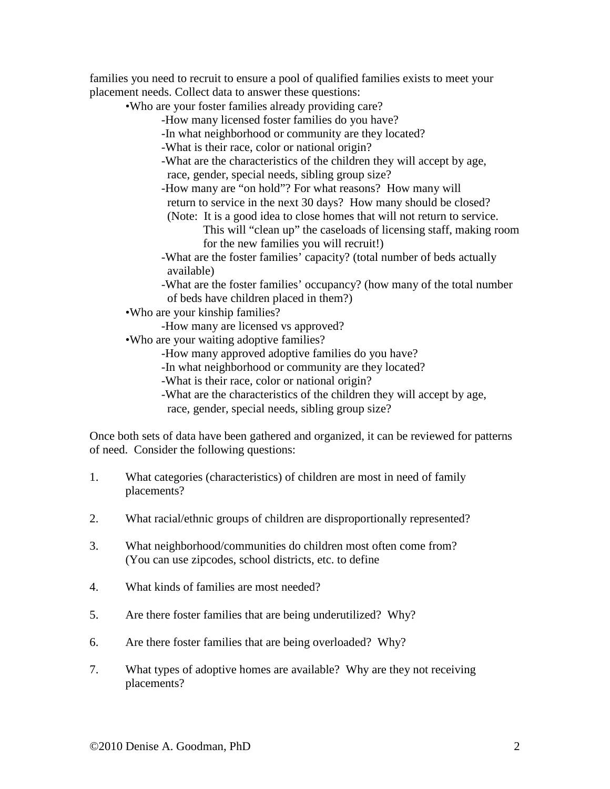families you need to recruit to ensure a pool of qualified families exists to meet your placement needs. Collect data to answer these questions:

•Who are your foster families already providing care?

- -How many licensed foster families do you have?
- -In what neighborhood or community are they located?
- -What is their race, color or national origin?
- -What are the characteristics of the children they will accept by age, race, gender, special needs, sibling group size?
- -How many are "on hold"? For what reasons? How many will return to service in the next 30 days? How many should be closed?
- (Note: It is a good idea to close homes that will not return to service.

 This will "clean up" the caseloads of licensing staff, making room for the new families you will recruit!)

-What are the foster families' capacity? (total number of beds actually available)

-What are the foster families' occupancy? (how many of the total number of beds have children placed in them?)

•Who are your kinship families?

- -How many are licensed vs approved?
- •Who are your waiting adoptive families?
	- -How many approved adoptive families do you have?
	- -In what neighborhood or community are they located?
	- -What is their race, color or national origin?
	- -What are the characteristics of the children they will accept by age, race, gender, special needs, sibling group size?

Once both sets of data have been gathered and organized, it can be reviewed for patterns of need. Consider the following questions:

- 1. What categories (characteristics) of children are most in need of family placements?
- 2. What racial/ethnic groups of children are disproportionally represented?
- 3. What neighborhood/communities do children most often come from? (You can use zipcodes, school districts, etc. to define
- 4. What kinds of families are most needed?
- 5. Are there foster families that are being underutilized? Why?
- 6. Are there foster families that are being overloaded? Why?
- 7. What types of adoptive homes are available? Why are they not receiving placements?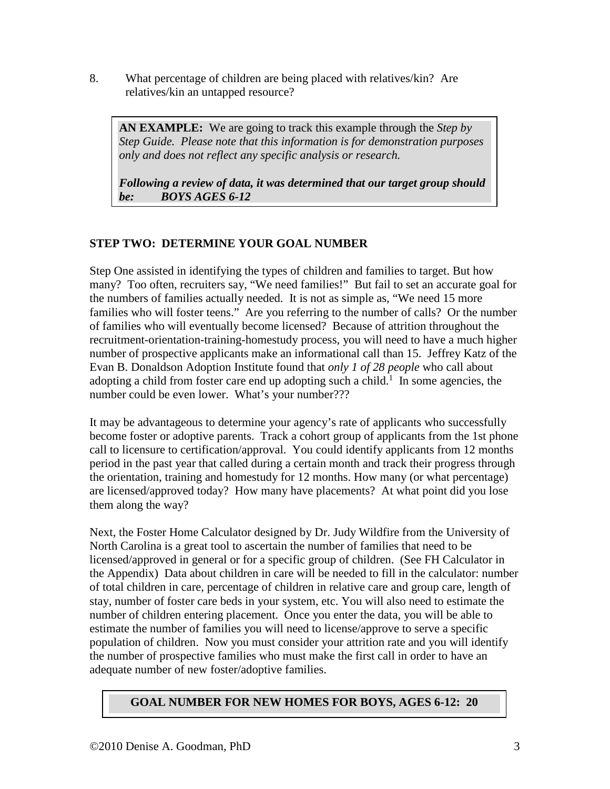8. What percentage of children are being placed with relatives/kin? Are relatives/kin an untapped resource?

**AN EXAMPLE:** We are going to track this example through the *Step by Step Guide. Please note that this information is for demonstration purposes only and does not reflect any specific analysis or research.*

*Following a review of data, it was determined that our target group should be: BOYS AGES 6-12*

## **STEP TWO: DETERMINE YOUR GOAL NUMBER**

Step One assisted in identifying the types of children and families to target. But how many? Too often, recruiters say, "We need families!" But fail to set an accurate goal for the numbers of families actually needed. It is not as simple as, "We need 15 more families who will foster teens." Are you referring to the number of calls? Or the number of families who will eventually become licensed? Because of attrition throughout the recruitment-orientation-training-homestudy process, you will need to have a much higher number of prospective applicants make an informational call than 15. Jeffrey Katz of the Evan B. Donaldson Adoption Institute found that *only 1 of 28 people* who call about adopting a child from foster care end up adopting such a child.<sup>1</sup> In some agencies, the number could be even lower. What's your number???

It may be advantageous to determine your agency's rate of applicants who successfully become foster or adoptive parents. Track a cohort group of applicants from the 1st phone call to licensure to certification/approval. You could identify applicants from 12 months period in the past year that called during a certain month and track their progress through the orientation, training and homestudy for 12 months. How many (or what percentage) are licensed/approved today? How many have placements? At what point did you lose them along the way?

Next, the Foster Home Calculator designed by Dr. Judy Wildfire from the University of North Carolina is a great tool to ascertain the number of families that need to be licensed/approved in general or for a specific group of children. (See FH Calculator in the Appendix) Data about children in care will be needed to fill in the calculator: number of total children in care, percentage of children in relative care and group care, length of stay, number of foster care beds in your system, etc. You will also need to estimate the number of children entering placement. Once you enter the data, you will be able to estimate the number of families you will need to license/approve to serve a specific population of children. Now you must consider your attrition rate and you will identify the number of prospective families who must make the first call in order to have an adequate number of new foster/adoptive families.

## **GOAL NUMBER FOR NEW HOMES FOR BOYS, AGES 6-12: 20**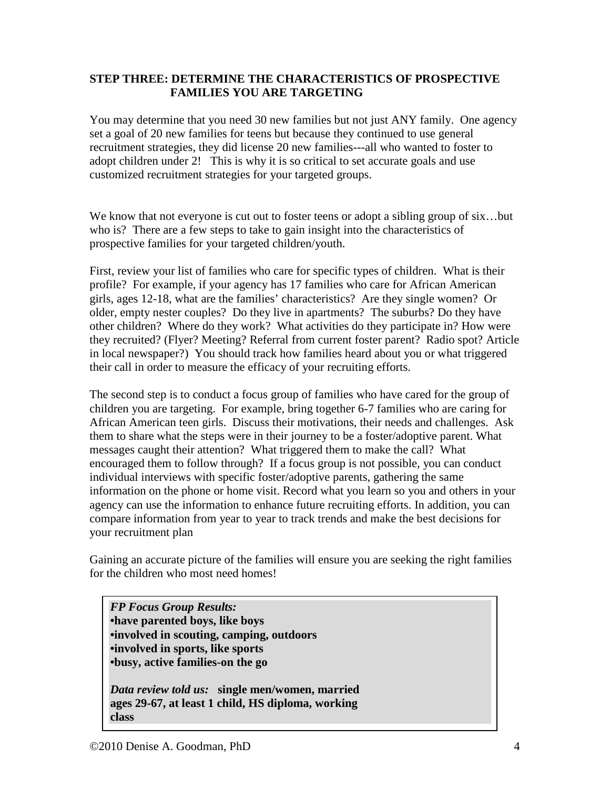#### **STEP THREE: DETERMINE THE CHARACTERISTICS OF PROSPECTIVE FAMILIES YOU ARE TARGETING**

You may determine that you need 30 new families but not just ANY family. One agency set a goal of 20 new families for teens but because they continued to use general recruitment strategies, they did license 20 new families---all who wanted to foster to adopt children under 2! This is why it is so critical to set accurate goals and use customized recruitment strategies for your targeted groups.

We know that not everyone is cut out to foster teens or adopt a sibling group of six...but who is? There are a few steps to take to gain insight into the characteristics of prospective families for your targeted children/youth.

First, review your list of families who care for specific types of children. What is their profile? For example, if your agency has 17 families who care for African American girls, ages 12-18, what are the families' characteristics? Are they single women? Or older, empty nester couples? Do they live in apartments? The suburbs? Do they have other children? Where do they work? What activities do they participate in? How were they recruited? (Flyer? Meeting? Referral from current foster parent? Radio spot? Article in local newspaper?) You should track how families heard about you or what triggered their call in order to measure the efficacy of your recruiting efforts.

The second step is to conduct a focus group of families who have cared for the group of children you are targeting. For example, bring together 6-7 families who are caring for African American teen girls. Discuss their motivations, their needs and challenges. Ask them to share what the steps were in their journey to be a foster/adoptive parent. What messages caught their attention? What triggered them to make the call? What encouraged them to follow through? If a focus group is not possible, you can conduct individual interviews with specific foster/adoptive parents, gathering the same information on the phone or home visit. Record what you learn so you and others in your agency can use the information to enhance future recruiting efforts. In addition, you can compare information from year to year to track trends and make the best decisions for your recruitment plan

Gaining an accurate picture of the families will ensure you are seeking the right families for the children who most need homes!

*FP Focus Group Results:* **•have parented boys, like boys •involved in scouting, camping, outdoors •involved in sports, like sports •busy, active families-on the go**

*Data review told us:* **single men/women, married ages 29-67, at least 1 child, HS diploma, working class**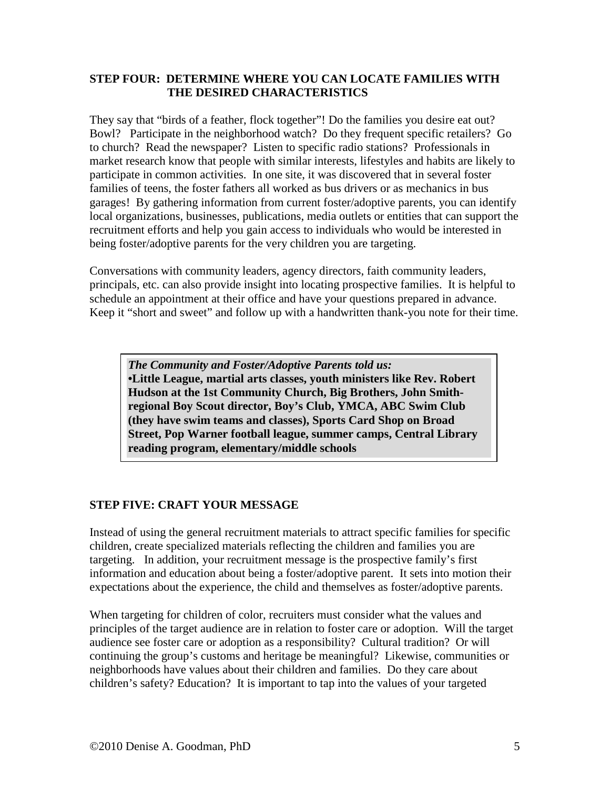#### **STEP FOUR: DETERMINE WHERE YOU CAN LOCATE FAMILIES WITH THE DESIRED CHARACTERISTICS**

They say that "birds of a feather, flock together"! Do the families you desire eat out? Bowl? Participate in the neighborhood watch? Do they frequent specific retailers? Go to church? Read the newspaper? Listen to specific radio stations? Professionals in market research know that people with similar interests, lifestyles and habits are likely to participate in common activities. In one site, it was discovered that in several foster families of teens, the foster fathers all worked as bus drivers or as mechanics in bus garages! By gathering information from current foster/adoptive parents, you can identify local organizations, businesses, publications, media outlets or entities that can support the recruitment efforts and help you gain access to individuals who would be interested in being foster/adoptive parents for the very children you are targeting.

Conversations with community leaders, agency directors, faith community leaders, principals, etc. can also provide insight into locating prospective families. It is helpful to schedule an appointment at their office and have your questions prepared in advance. Keep it "short and sweet" and follow up with a handwritten thank-you note for their time.

*The Community and Foster/Adoptive Parents told us:* **•Little League, martial arts classes, youth ministers like Rev. Robert Hudson at the 1st Community Church, Big Brothers, John Smithregional Boy Scout director, Boy's Club, YMCA, ABC Swim Club (they have swim teams and classes), Sports Card Shop on Broad Street, Pop Warner football league, summer camps, Central Library reading program, elementary/middle schools**

#### **STEP FIVE: CRAFT YOUR MESSAGE**

Instead of using the general recruitment materials to attract specific families for specific children, create specialized materials reflecting the children and families you are targeting. In addition, your recruitment message is the prospective family's first information and education about being a foster/adoptive parent. It sets into motion their expectations about the experience, the child and themselves as foster/adoptive parents.

When targeting for children of color, recruiters must consider what the values and principles of the target audience are in relation to foster care or adoption. Will the target audience see foster care or adoption as a responsibility? Cultural tradition? Or will continuing the group's customs and heritage be meaningful? Likewise, communities or neighborhoods have values about their children and families. Do they care about children's safety? Education? It is important to tap into the values of your targeted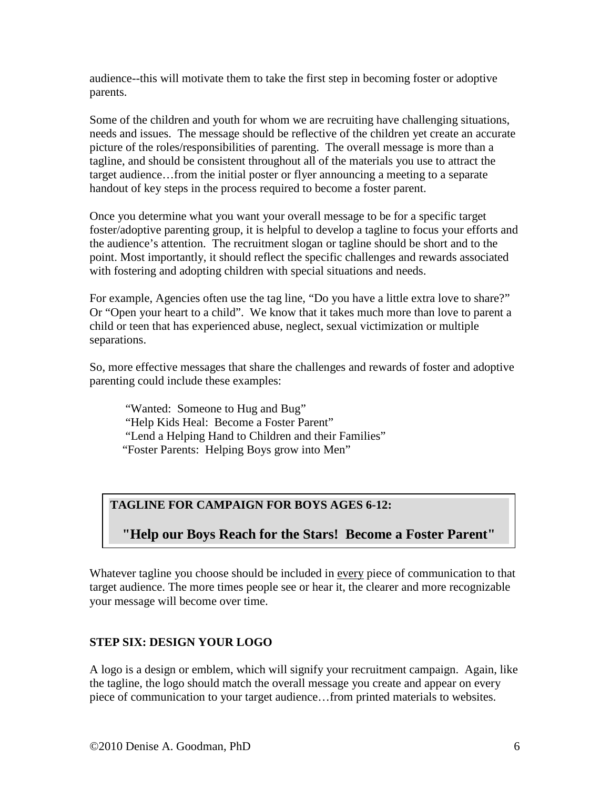audience--this will motivate them to take the first step in becoming foster or adoptive parents.

Some of the children and youth for whom we are recruiting have challenging situations, needs and issues. The message should be reflective of the children yet create an accurate picture of the roles/responsibilities of parenting. The overall message is more than a tagline, and should be consistent throughout all of the materials you use to attract the target audience…from the initial poster or flyer announcing a meeting to a separate handout of key steps in the process required to become a foster parent.

Once you determine what you want your overall message to be for a specific target foster/adoptive parenting group, it is helpful to develop a tagline to focus your efforts and the audience's attention. The recruitment slogan or tagline should be short and to the point. Most importantly, it should reflect the specific challenges and rewards associated with fostering and adopting children with special situations and needs.

For example, Agencies often use the tag line, "Do you have a little extra love to share?" Or "Open your heart to a child". We know that it takes much more than love to parent a child or teen that has experienced abuse, neglect, sexual victimization or multiple separations.

So, more effective messages that share the challenges and rewards of foster and adoptive parenting could include these examples:

"Wanted: Someone to Hug and Bug" "Help Kids Heal: Become a Foster Parent" "Lend a Helping Hand to Children and their Families" "Foster Parents: Helping Boys grow into Men"

## **TAGLINE FOR CAMPAIGN FOR BOYS AGES 6-12:**

**"Help our Boys Reach for the Stars! Become a Foster Parent"**

Whatever tagline you choose should be included in <u>every</u> piece of communication to that target audience. The more times people see or hear it, the clearer and more recognizable your message will become over time.

#### **STEP SIX: DESIGN YOUR LOGO**

A logo is a design or emblem, which will signify your recruitment campaign. Again, like the tagline, the logo should match the overall message you create and appear on every piece of communication to your target audience…from printed materials to websites.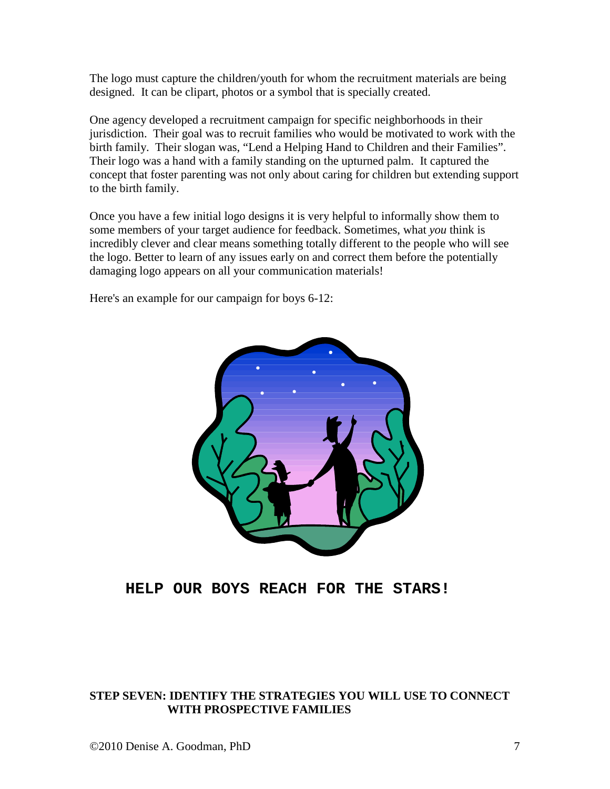The logo must capture the children/youth for whom the recruitment materials are being designed. It can be clipart, photos or a symbol that is specially created.

One agency developed a recruitment campaign for specific neighborhoods in their jurisdiction. Their goal was to recruit families who would be motivated to work with the birth family. Their slogan was, "Lend a Helping Hand to Children and their Families". Their logo was a hand with a family standing on the upturned palm. It captured the concept that foster parenting was not only about caring for children but extending support to the birth family.

Once you have a few initial logo designs it is very helpful to informally show them to some members of your target audience for feedback. Sometimes, what *you* think is incredibly clever and clear means something totally different to the people who will see the logo. Better to learn of any issues early on and correct them before the potentially damaging logo appears on all your communication materials!

Here's an example for our campaign for boys 6-12:



## **HELP OUR BOYS REACH FOR THE STARS!**

#### **STEP SEVEN: IDENTIFY THE STRATEGIES YOU WILL USE TO CONNECT WITH PROSPECTIVE FAMILIES**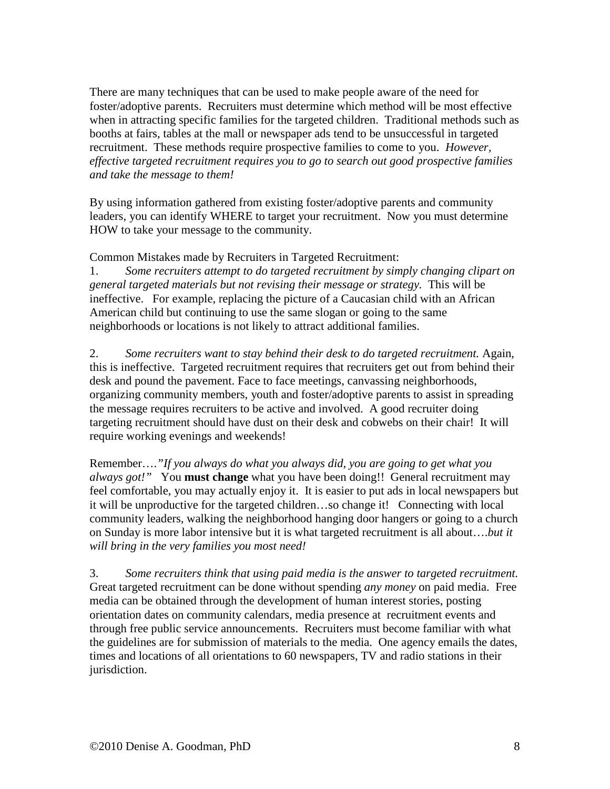There are many techniques that can be used to make people aware of the need for foster/adoptive parents. Recruiters must determine which method will be most effective when in attracting specific families for the targeted children. Traditional methods such as booths at fairs, tables at the mall or newspaper ads tend to be unsuccessful in targeted recruitment. These methods require prospective families to come to you. *However, effective targeted recruitment requires you to go to search out good prospective families and take the message to them!*

By using information gathered from existing foster/adoptive parents and community leaders, you can identify WHERE to target your recruitment. Now you must determine HOW to take your message to the community.

Common Mistakes made by Recruiters in Targeted Recruitment:

1. *Some recruiters attempt to do targeted recruitment by simply changing clipart on general targeted materials but not revising their message or strategy.* This will be ineffective. For example, replacing the picture of a Caucasian child with an African American child but continuing to use the same slogan or going to the same neighborhoods or locations is not likely to attract additional families.

2. Some recruiters want to stay behind their desk to do targeted recruitment. Again, this is ineffective. Targeted recruitment requires that recruiters get out from behind their desk and pound the pavement. Face to face meetings, canvassing neighborhoods, organizing community members, youth and foster/adoptive parents to assist in spreading the message requires recruiters to be active and involved. A good recruiter doing targeting recruitment should have dust on their desk and cobwebs on their chair! It will require working evenings and weekends!

Remember….*"If you always do what you always did, you are going to get what you always got!"* You **must change** what you have been doing!! General recruitment may feel comfortable, you may actually enjoy it. It is easier to put ads in local newspapers but it will be unproductive for the targeted children…so change it! Connecting with local community leaders, walking the neighborhood hanging door hangers or going to a church on Sunday is more labor intensive but it is what targeted recruitment is all about….*but it will bring in the very families you most need!*

3. *Some recruiters think that using paid media is the answer to targeted recruitment.*  Great targeted recruitment can be done without spending *any money* on paid media. Free media can be obtained through the development of human interest stories, posting orientation dates on community calendars, media presence at recruitment events and through free public service announcements. Recruiters must become familiar with what the guidelines are for submission of materials to the media. One agency emails the dates, times and locations of all orientations to 60 newspapers, TV and radio stations in their jurisdiction.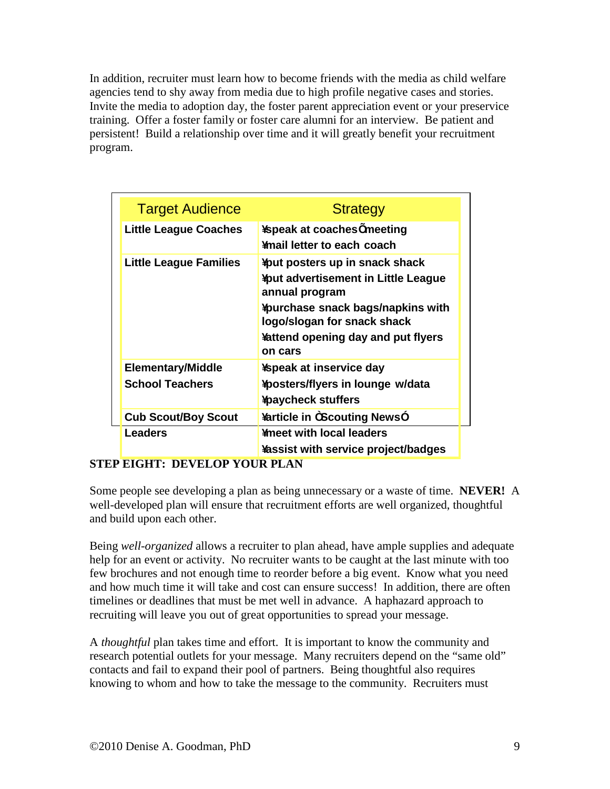In addition, recruiter must learn how to become friends with the media as child welfare agencies tend to shy away from media due to high profile negative cases and stories. Invite the media to adoption day, the foster parent appreciation event or your preservice training. Offer a foster family or foster care alumni for an interview. Be patient and persistent! Build a relationship over time and it will greatly benefit your recruitment program.

| <b>Target Audience</b>                             | <b>Strategy</b>                                                                                                                                                                                                            |
|----------------------------------------------------|----------------------------------------------------------------------------------------------------------------------------------------------------------------------------------------------------------------------------|
| <b>Little League Coaches</b>                       | <b>¥speak at coaches Omeeting</b><br>¥mail letter to each coach                                                                                                                                                            |
| <b>Little League Families</b>                      | ¥put posters up in snack shack<br><b>¥put advertisement in Little League</b><br>annual program<br><b>¥purchase snack bags/napkins with</b><br>logo/slogan for snack shack<br>¥attend opening day and put flyers<br>on cars |
| <b>Elementary/Middle</b><br><b>School Teachers</b> | <b>¥speak at inservice day</b><br>¥posters/flyers in lounge w/data<br><b>¥paycheck stuffers</b>                                                                                                                            |
| <b>Cub Scout/Boy Scout</b><br><b>Leaders</b>       | <b>¥article in OScouting NewsO</b><br><b>¥meet with local leaders</b><br><b>¥assist with service project/badges</b>                                                                                                        |

#### **STEP EIGHT: DEVELOP YOUR PLAN**

Some people see developing a plan as being unnecessary or a waste of time. **NEVER!** A well-developed plan will ensure that recruitment efforts are well organized, thoughtful and build upon each other.

Being *well-organized* allows a recruiter to plan ahead, have ample supplies and adequate help for an event or activity. No recruiter wants to be caught at the last minute with too few brochures and not enough time to reorder before a big event. Know what you need and how much time it will take and cost can ensure success! In addition, there are often timelines or deadlines that must be met well in advance. A haphazard approach to recruiting will leave you out of great opportunities to spread your message.

A *thoughtful* plan takes time and effort. It is important to know the community and research potential outlets for your message. Many recruiters depend on the "same old" contacts and fail to expand their pool of partners. Being thoughtful also requires knowing to whom and how to take the message to the community. Recruiters must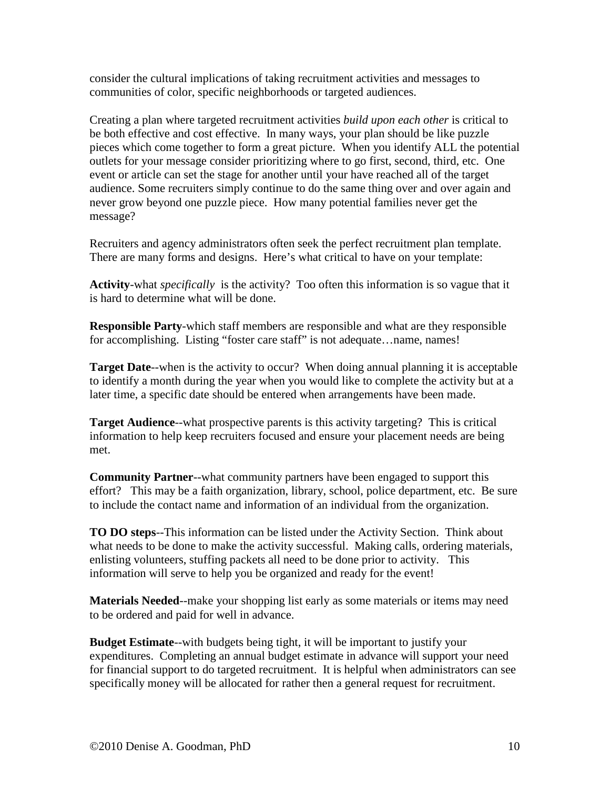consider the cultural implications of taking recruitment activities and messages to communities of color, specific neighborhoods or targeted audiences.

Creating a plan where targeted recruitment activities *build upon each other* is critical to be both effective and cost effective. In many ways, your plan should be like puzzle pieces which come together to form a great picture. When you identify ALL the potential outlets for your message consider prioritizing where to go first, second, third, etc. One event or article can set the stage for another until your have reached all of the target audience. Some recruiters simply continue to do the same thing over and over again and never grow beyond one puzzle piece. How many potential families never get the message?

Recruiters and agency administrators often seek the perfect recruitment plan template. There are many forms and designs. Here's what critical to have on your template:

**Activity**-what *specifically* is the activity? Too often this information is so vague that it is hard to determine what will be done.

**Responsible Party**-which staff members are responsible and what are they responsible for accomplishing. Listing "foster care staff" is not adequate...name, names!

**Target Date--when is the activity to occur?** When doing annual planning it is acceptable to identify a month during the year when you would like to complete the activity but at a later time, a specific date should be entered when arrangements have been made.

**Target Audience**--what prospective parents is this activity targeting? This is critical information to help keep recruiters focused and ensure your placement needs are being met.

**Community Partner**--what community partners have been engaged to support this effort? This may be a faith organization, library, school, police department, etc. Be sure to include the contact name and information of an individual from the organization.

**TO DO steps**--This information can be listed under the Activity Section. Think about what needs to be done to make the activity successful. Making calls, ordering materials, enlisting volunteers, stuffing packets all need to be done prior to activity. This information will serve to help you be organized and ready for the event!

**Materials Needed**--make your shopping list early as some materials or items may need to be ordered and paid for well in advance.

**Budget Estimate**--with budgets being tight, it will be important to justify your expenditures. Completing an annual budget estimate in advance will support your need for financial support to do targeted recruitment. It is helpful when administrators can see specifically money will be allocated for rather then a general request for recruitment.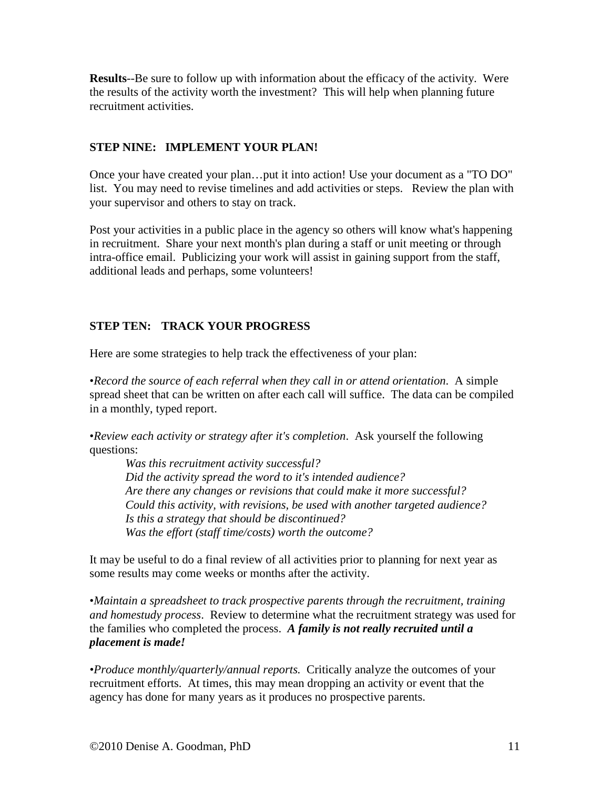**Results**--Be sure to follow up with information about the efficacy of the activity. Were the results of the activity worth the investment? This will help when planning future recruitment activities.

#### **STEP NINE: IMPLEMENT YOUR PLAN!**

Once your have created your plan…put it into action! Use your document as a "TO DO" list.You may need to revise timelines and add activities or steps. Review the plan with your supervisor and others to stay on track.

Post your activities in a public place in the agency so others will know what's happening in recruitment. Share your next month's plan during a staff or unit meeting or through intra-office email. Publicizing your work will assist in gaining support from the staff, additional leads and perhaps, some volunteers!

#### **STEP TEN: TRACK YOUR PROGRESS**

Here are some strategies to help track the effectiveness of your plan:

•*Record the source of each referral when they call in or attend orientation*. A simple spread sheet that can be written on after each call will suffice. The data can be compiled in a monthly, typed report.

•*Review each activity or strategy after it's completion*. Ask yourself the following questions:

*Was this recruitment activity successful? Did the activity spread the word to it's intended audience? Are there any changes or revisions that could make it more successful? Could this activity, with revisions, be used with another targeted audience? Is this a strategy that should be discontinued? Was the effort (staff time/costs) worth the outcome?*

It may be useful to do a final review of all activities prior to planning for next year as some results may come weeks or months after the activity.

•*Maintain a spreadsheet to track prospective parents through the recruitment, training and homestudy process*. Review to determine what the recruitment strategy was used for the families who completed the process. *A family is not really recruited until a placement is made!*

*•Produce monthly/quarterly/annual reports.* Critically analyze the outcomes of your recruitment efforts. At times, this may mean dropping an activity or event that the agency has done for many years as it produces no prospective parents.